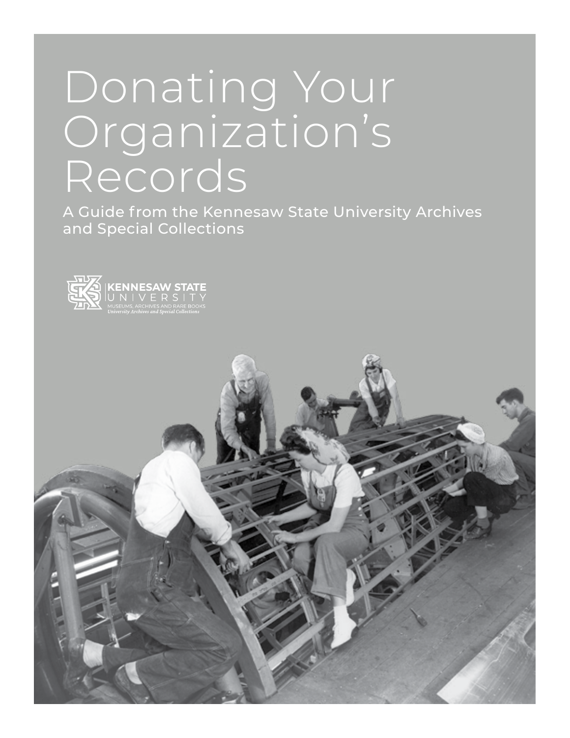# Donating Your Organization's Records

A Guide from the Kennesaw State University Archives and Special Collections



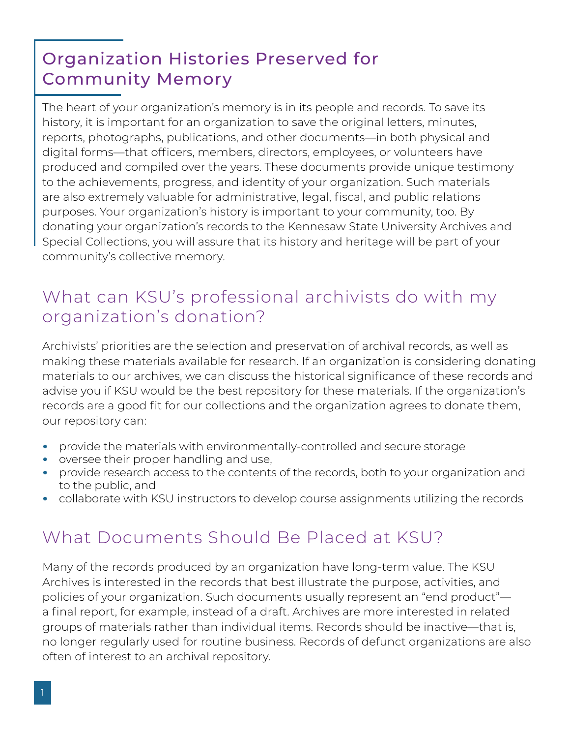## Organization Histories Preserved for Community Memory

The heart of your organization's memory is in its people and records. To save its history, it is important for an organization to save the original letters, minutes, reports, photographs, publications, and other documents—in both physical and digital forms—that officers, members, directors, employees, or volunteers have produced and compiled over the years. These documents provide unique testimony to the achievements, progress, and identity of your organization. Such materials are also extremely valuable for administrative, legal, fiscal, and public relations purposes. Your organization's history is important to your community, too. By donating your organization's records to the Kennesaw State University Archives and Special Collections, you will assure that its history and heritage will be part of your community's collective memory.

### What can KSU's professional archivists do with my organization's donation?

Archivists' priorities are the selection and preservation of archival records, as well as making these materials available for research. If an organization is considering donating materials to our archives, we can discuss the historical significance of these records and advise you if KSU would be the best repository for these materials. If the organization's records are a good fit for our collections and the organization agrees to donate them, our repository can:

- provide the materials with environmentally-controlled and secure storage
- oversee their proper handling and use,
- provide research access to the contents of the records, both to your organization and to the public, and
- collaborate with KSU instructors to develop course assignments utilizing the records

## What Documents Should Be Placed at KSU?

Many of the records produced by an organization have long-term value. The KSU Archives is interested in the records that best illustrate the purpose, activities, and policies of your organization. Such documents usually represent an "end product" a final report, for example, instead of a draft. Archives are more interested in related groups of materials rather than individual items. Records should be inactive—that is, no longer regularly used for routine business. Records of defunct organizations are also often of interest to an archival repository.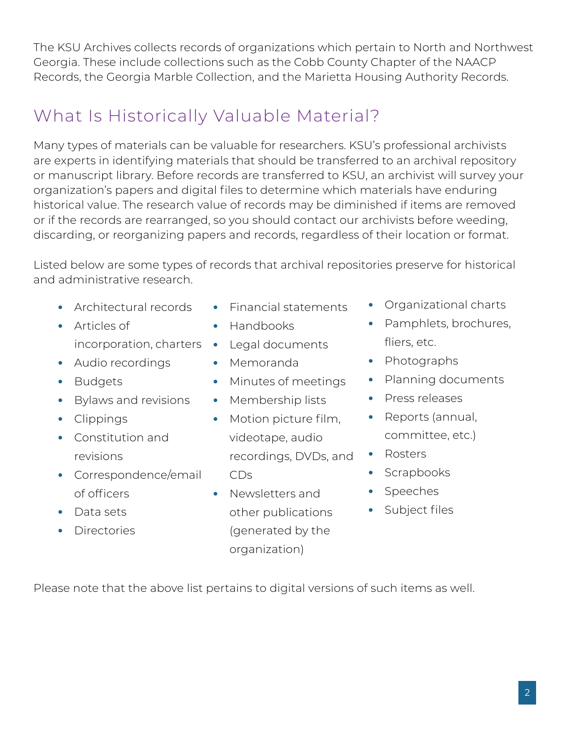The KSU Archives collects records of organizations which pertain to North and Northwest Georgia. These include collections such as the Cobb County Chapter of the NAACP Records, the Georgia Marble Collection, and the Marietta Housing Authority Records.

## What Is Historically Valuable Material?

Many types of materials can be valuable for researchers. KSU's professional archivists are experts in identifying materials that should be transferred to an archival repository or manuscript library. Before records are transferred to KSU, an archivist will survey your organization's papers and digital files to determine which materials have enduring historical value. The research value of records may be diminished if items are removed or if the records are rearranged, so you should contact our archivists before weeding, discarding, or reorganizing papers and records, regardless of their location or format.

Listed below are some types of records that archival repositories preserve for historical and administrative research.

- Architectural records
- Articles of
- Audio recordings
- Budgets
- Bylaws and revisions
- Clippings
- Constitution and revisions
- Correspondence/email of officers
- Data sets
- Directories
- Financial statements
- Handbooks
- incorporation, charters Legal documents
	- Memoranda
	- Minutes of meetings
	- Membership lists
	- Motion picture film, videotape, audio recordings, DVDs, and CDs
	- Newsletters and other publications (generated by the organization)
- Organizational charts
- Pamphlets, brochures, fliers, etc.
- Photographs
- Planning documents
- Press releases
- Reports (annual, committee, etc.)
- Rosters
- Scrapbooks
- Speeches
- Subject files

Please note that the above list pertains to digital versions of such items as well.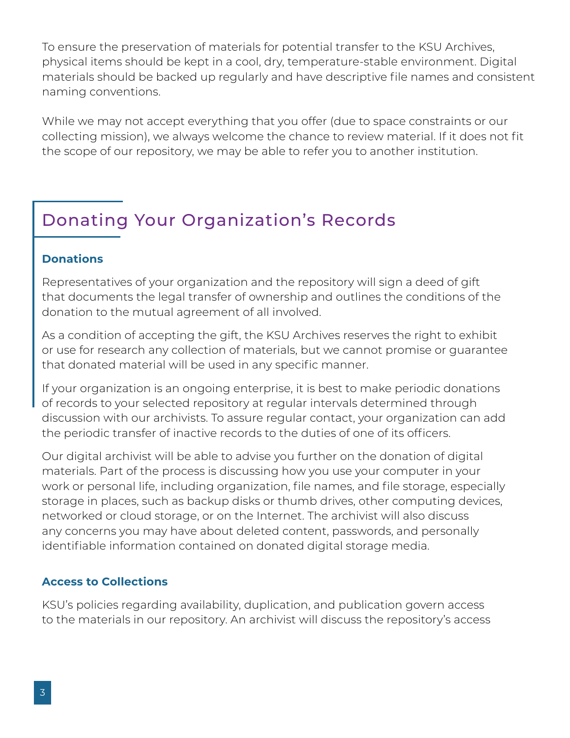To ensure the preservation of materials for potential transfer to the KSU Archives, physical items should be kept in a cool, dry, temperature-stable environment. Digital materials should be backed up regularly and have descriptive file names and consistent naming conventions.

While we may not accept everything that you offer (due to space constraints or our collecting mission), we always welcome the chance to review material. If it does not fit the scope of our repository, we may be able to refer you to another institution.

## Donating Your Organization's Records

#### **Donations**

Representatives of your organization and the repository will sign a deed of gift that documents the legal transfer of ownership and outlines the conditions of the donation to the mutual agreement of all involved.

As a condition of accepting the gift, the KSU Archives reserves the right to exhibit or use for research any collection of materials, but we cannot promise or guarantee that donated material will be used in any specific manner.

If your organization is an ongoing enterprise, it is best to make periodic donations of records to your selected repository at regular intervals determined through discussion with our archivists. To assure regular contact, your organization can add the periodic transfer of inactive records to the duties of one of its officers.

Our digital archivist will be able to advise you further on the donation of digital materials. Part of the process is discussing how you use your computer in your work or personal life, including organization, file names, and file storage, especially storage in places, such as backup disks or thumb drives, other computing devices, networked or cloud storage, or on the Internet. The archivist will also discuss any concerns you may have about deleted content, passwords, and personally identifiable information contained on donated digital storage media.

#### **Access to Collections**

KSU's policies regarding availability, duplication, and publication govern access to the materials in our repository. An archivist will discuss the repository's access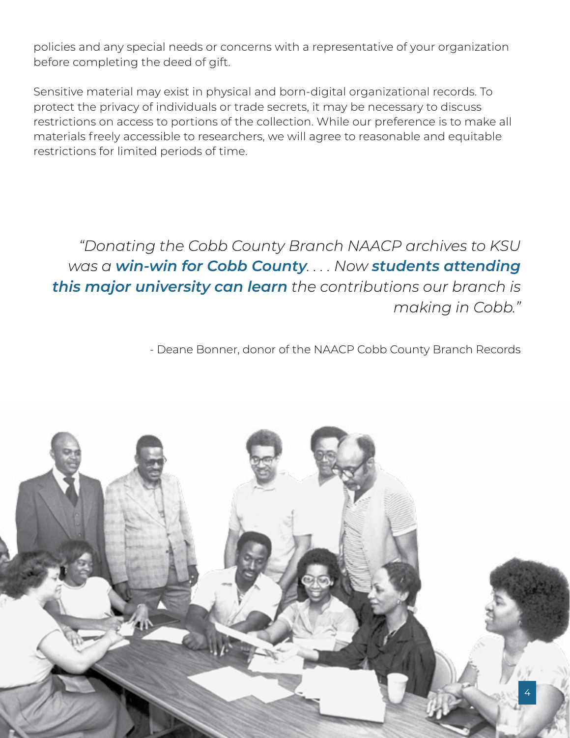policies and any special needs or concerns with a representative of your organization before completing the deed of gift.

Sensitive material may exist in physical and born-digital organizational records. To protect the privacy of individuals or trade secrets, it may be necessary to discuss restrictions on access to portions of the collection. While our preference is to make all materials freely accessible to researchers, we will agree to reasonable and equitable restrictions for limited periods of time.

*"Donating the Cobb County Branch NAACP archives to KSU was a win-win for Cobb County. . . . Now students attending this major university can learn the contributions our branch is making in Cobb."* 

- Deane Bonner, donor of the NAACP Cobb County Branch Records

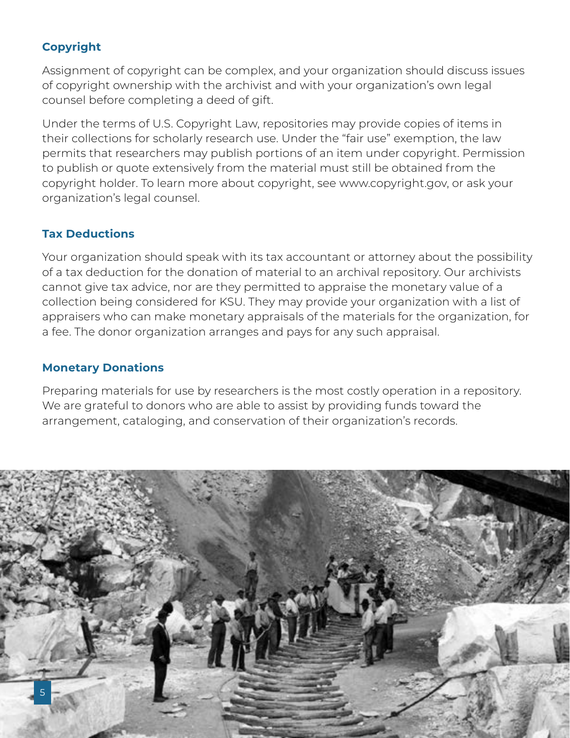### **Copyright**

Assignment of copyright can be complex, and your organization should discuss issues of copyright ownership with the archivist and with your organization's own legal counsel before completing a deed of gift.

Under the terms of U.S. Copyright Law, repositories may provide copies of items in their collections for scholarly research use. Under the "fair use" exemption, the law permits that researchers may publish portions of an item under copyright. Permission to publish or quote extensively from the material must still be obtained from the copyright holder. To learn more about copyright, see www.copyright.gov, or ask your organization's legal counsel.

#### **Tax Deductions**

Your organization should speak with its tax accountant or attorney about the possibility of a tax deduction for the donation of material to an archival repository. Our archivists cannot give tax advice, nor are they permitted to appraise the monetary value of a collection being considered for KSU. They may provide your organization with a list of appraisers who can make monetary appraisals of the materials for the organization, for a fee. The donor organization arranges and pays for any such appraisal.

#### **Monetary Donations**

Preparing materials for use by researchers is the most costly operation in a repository. We are grateful to donors who are able to assist by providing funds toward the arrangement, cataloging, and conservation of their organization's records.

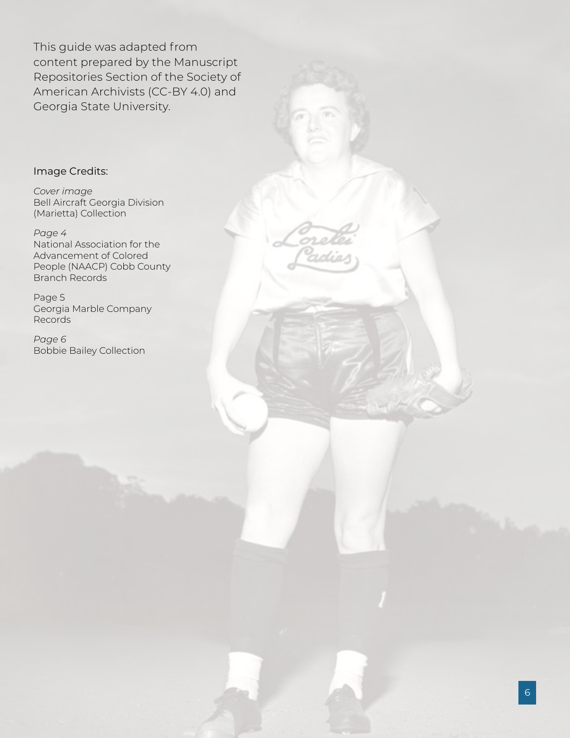This guide was adapted from content prepared by the Manuscript Repositories Section of the Society of American Archivists (CC-BY 4.0) and Georgia State University.

#### Image Credits:

*Cover image* Bell Aircraft Georgia Division (Marietta) Collection

*Page 4*  National Association for the Advancement of Colored People (NAACP) Cobb County Branch Records

Page 5 Georgia Marble Company Records

*Page 6* Bobbie Bailey Collection